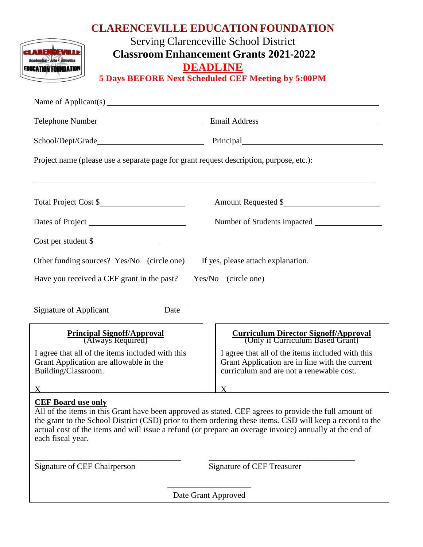| <b>CLARENCEVILLE EDUCATION FOUNDATION</b><br><b>Serving Clarenceville School District</b><br><b>REMBEW</b><br><b>Classroom Enhancement Grants 2021-2022</b><br><b>DEADLINE</b><br><b>EDUCATION FOUNDATION</b><br><b>5 Days BEFORE Next Scheduled CEF Meeting by 5:00PM</b> |                                                                                                                                                                                                                                                                                                                              |
|----------------------------------------------------------------------------------------------------------------------------------------------------------------------------------------------------------------------------------------------------------------------------|------------------------------------------------------------------------------------------------------------------------------------------------------------------------------------------------------------------------------------------------------------------------------------------------------------------------------|
|                                                                                                                                                                                                                                                                            |                                                                                                                                                                                                                                                                                                                              |
|                                                                                                                                                                                                                                                                            |                                                                                                                                                                                                                                                                                                                              |
|                                                                                                                                                                                                                                                                            |                                                                                                                                                                                                                                                                                                                              |
| Project name (please use a separate page for grant request description, purpose, etc.):                                                                                                                                                                                    |                                                                                                                                                                                                                                                                                                                              |
| Total Project Cost \$                                                                                                                                                                                                                                                      | Amount Requested \$                                                                                                                                                                                                                                                                                                          |
|                                                                                                                                                                                                                                                                            |                                                                                                                                                                                                                                                                                                                              |
| Cost per student \$                                                                                                                                                                                                                                                        |                                                                                                                                                                                                                                                                                                                              |
| Other funding sources? Yes/No (circle one) If yes, please attach explanation.                                                                                                                                                                                              |                                                                                                                                                                                                                                                                                                                              |
| Have you received a CEF grant in the past? Yes/No (circle one)                                                                                                                                                                                                             |                                                                                                                                                                                                                                                                                                                              |
|                                                                                                                                                                                                                                                                            |                                                                                                                                                                                                                                                                                                                              |
| <b>Signature of Applicant</b><br>Date                                                                                                                                                                                                                                      |                                                                                                                                                                                                                                                                                                                              |
| <b>Principal Signoff/Approval</b><br>(Always Required)                                                                                                                                                                                                                     | <b>Curriculum Director Signoff/Approval</b><br>(Only if Curriculum Based Grant)                                                                                                                                                                                                                                              |
| I agree that all of the items included with this<br>Grant Application are allowable in the<br>Building/Classroom.                                                                                                                                                          | I agree that all of the items included with this<br>Grant Application are in line with the current<br>curriculum and are not a renewable cost.                                                                                                                                                                               |
| X                                                                                                                                                                                                                                                                          | X                                                                                                                                                                                                                                                                                                                            |
| <b>CEF Board use only</b><br>each fiscal year.                                                                                                                                                                                                                             | All of the items in this Grant have been approved as stated. CEF agrees to provide the full amount of<br>the grant to the School District (CSD) prior to them ordering these items. CSD will keep a record to the<br>actual cost of the items and will issue a refund (or prepare an overage invoice) annually at the end of |
| Signature of CEF Chairperson                                                                                                                                                                                                                                               | <b>Signature of CEF Treasurer</b>                                                                                                                                                                                                                                                                                            |
|                                                                                                                                                                                                                                                                            | Date Grant Approved                                                                                                                                                                                                                                                                                                          |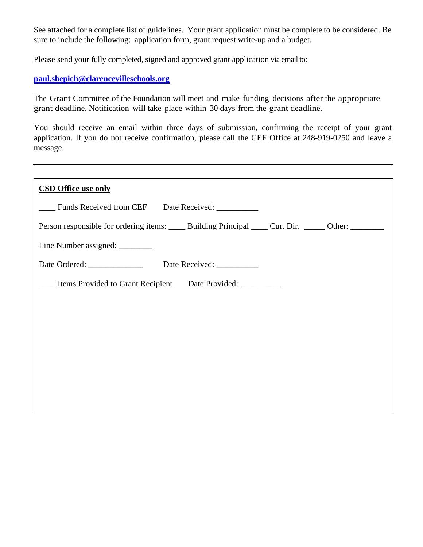See attached for a complete list of guidelines. Your grant application must be complete to be considered. Be sure to include the following: application form, grant request write-up and a budget.

Please send your fully completed, signed and approved grant application via email to:

## **[paul.shepich@clarencevilleschools.org](mailto:paul.shepich@clarencevilleschools.org)**

The Grant Committee of the Foundation will meet and make funding decisions after the appropriate grant deadline. Notification will take place within 30 days from the grant deadline.

You should receive an email within three days of submission, confirming the receipt of your grant application. If you do not receive confirmation, please call the CEF Office at 248-919-0250 and leave a message.